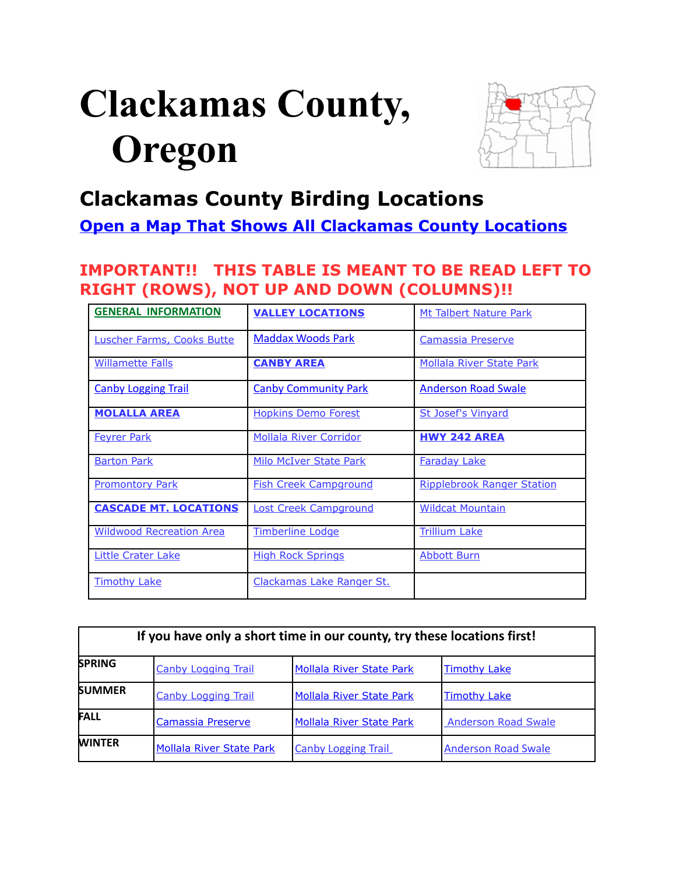# <span id="page-0-0"></span>**Clackamas County, Oregon**



# **Clackamas County Birding Locations**

# **[Open a Map That Shows All Clackamas County Locations](https://www.google.com/maps/d/edit?mid=zVl1oTDALjf4.k9V1tbpkfzUo&usp=sharing)**

# **IMPORTANT!! THIS TABLE IS MEANT TO BE READ LEFT TO RIGHT (ROWS), NOT UP AND DOWN (COLUMNS)!!**

| <b>GENERAL INFORMATION</b>        | <b>VALLEY LOCATIONS</b>       | Mt Talbert Nature Park            |
|-----------------------------------|-------------------------------|-----------------------------------|
| <b>Luscher Farms, Cooks Butte</b> | <b>Maddax Woods Park</b>      | Camassia Preserve                 |
| <b>Willamette Falls</b>           | <b>CANBY AREA</b>             | <b>Mollala River State Park</b>   |
| <b>Canby Logging Trail</b>        | <b>Canby Community Park</b>   | <b>Anderson Road Swale</b>        |
| <b>MOLALLA AREA</b>               | <b>Hopkins Demo Forest</b>    | <b>St Josef's Vinyard</b>         |
| <b>Feyrer Park</b>                | <b>Mollala River Corridor</b> | <b>HWY 242 AREA</b>               |
| <b>Barton Park</b>                | <b>Milo McIver State Park</b> | <b>Faraday Lake</b>               |
| <b>Promontory Park</b>            | <b>Fish Creek Campground</b>  | <b>Ripplebrook Ranger Station</b> |
| <b>CASCADE MT. LOCATIONS</b>      | <b>Lost Creek Campground</b>  | <b>Wildcat Mountain</b>           |
| <b>Wildwood Recreation Area</b>   | <b>Timberline Lodge</b>       | <b>Trillium Lake</b>              |
| <b>Little Crater Lake</b>         | <b>High Rock Springs</b>      | <b>Abbott Burn</b>                |
| <b>Timothy Lake</b>               | Clackamas Lake Ranger St.     |                                   |

| If you have only a short time in our county, try these locations first! |                                 |                                 |                            |  |
|-------------------------------------------------------------------------|---------------------------------|---------------------------------|----------------------------|--|
| <b>SPRING</b>                                                           | <b>Canby Logging Trail</b>      | <b>Mollala River State Park</b> | <b>Timothy Lake</b>        |  |
| <b>SUMMER</b>                                                           | <b>Canby Logging Trail</b>      | <b>Mollala River State Park</b> | <b>Timothy Lake</b>        |  |
| <b>FALL</b>                                                             | <b>Camassia Preserve</b>        | <b>Mollala River State Park</b> | <b>Anderson Road Swale</b> |  |
| <b>WINTER</b>                                                           | <b>Mollala River State Park</b> | <b>Canby Logging Trail</b>      | <b>Anderson Road Swale</b> |  |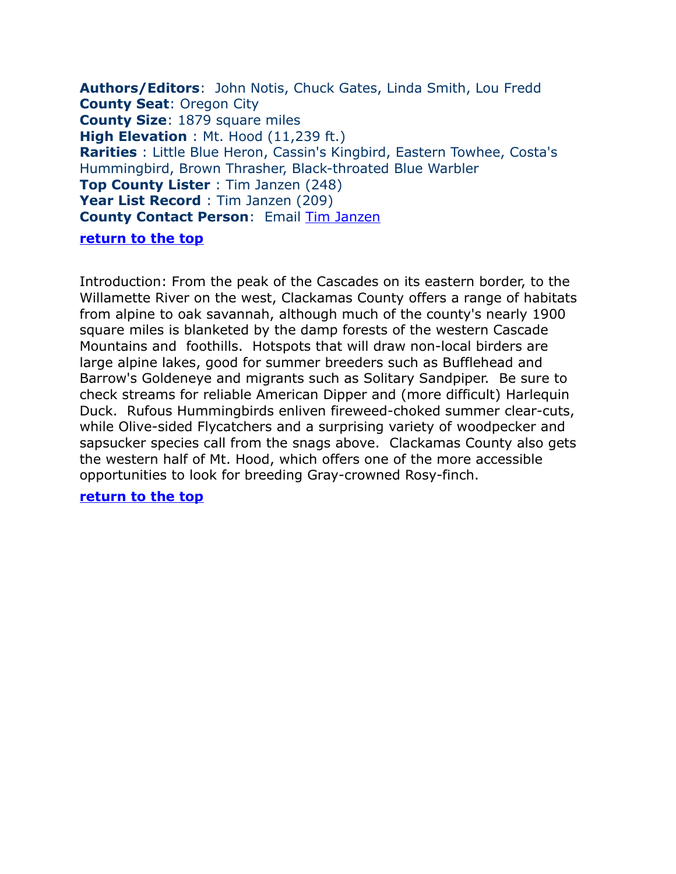<span id="page-1-0"></span>**Authors/Editors**: John Notis, Chuck Gates, Linda Smith, Lou Fredd **County Seat**: Oregon City **County Size**: 1879 square miles **High Elevation** : Mt. Hood (11,239 ft.) **Rarities** : Little Blue Heron, Cassin's Kingbird, Eastern Towhee, Costa's Hummingbird, Brown Thrasher, Black-throated Blue Warbler **Top County Lister** : Tim Janzen (248) Year List Record : Tim Janzen (209) **County Contact Person**: Email [Tim Janzen](mailto:tjanzen@comcast.net) **[return to the top](#page-0-0)**

Introduction: From the peak of the Cascades on its eastern border, to the Willamette River on the west, Clackamas County offers a range of habitats from alpine to oak savannah, although much of the county's nearly 1900 square miles is blanketed by the damp forests of the western Cascade Mountains and foothills. Hotspots that will draw non-local birders are large alpine lakes, good for summer breeders such as Bufflehead and Barrow's Goldeneye and migrants such as Solitary Sandpiper. Be sure to check streams for reliable American Dipper and (more difficult) Harlequin Duck. Rufous Hummingbirds enliven fireweed-choked summer clear-cuts, while Olive-sided Flycatchers and a surprising variety of woodpecker and sapsucker species call from the snags above. Clackamas County also gets the western half of Mt. Hood, which offers one of the more accessible opportunities to look for breeding Gray-crowned Rosy-finch.

#### **[return to the top](#page-0-0)**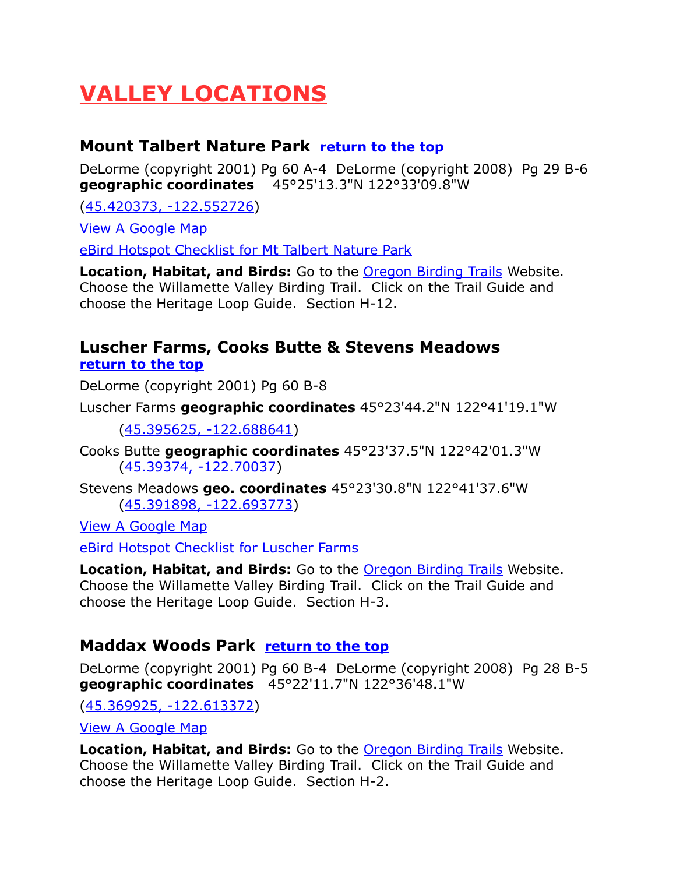# <span id="page-2-3"></span>**VALLEY LOCATIONS**

# <span id="page-2-2"></span>**Mount Talbert Nature Park [return to the top](#page-0-0)**

DeLorme (copyright 2001) Pg 60 A-4 DeLorme (copyright 2008) Pg 29 B-6 **geographic coordinates** 45°25'13.3"N 122°33'09.8"W

[\(45.420373, -122.552726\)](https://www.google.com/maps/place/45%C2%B025)

[View A Google Map](http://maps.google.com/maps/ms?hl=en&ie=UTF8&msa=0&msid=108036481085398338899.00046dc4cf4395371a64a&ll=45.388806,-122.557983&spn=0.660644,1.399384&z=10)

[eBird Hotspot Checklist for Mt Talbert Nature Park](http://ebird.org/ebird/hotspot/L668557)

**Location, Habitat, and Birds:** Go to the [Oregon Birding Trails](http://www.oregonbirdingtrails.org/) Website. Choose the Willamette Valley Birding Trail. Click on the Trail Guide and choose the Heritage Loop Guide. Section H-12.

# <span id="page-2-1"></span>**Luscher Farms, Cooks Butte & Stevens Meadows [return to the top](#page-0-0)**

DeLorme (copyright 2001) Pg 60 B-8

Luscher Farms **geographic coordinates** 45°23'44.2"N 122°41'19.1"W

[\(45.395625, -122.688641\)](https://www.google.com/maps/place/45%C2%B023)

Cooks Butte **geographic coordinates** 45°23'37.5"N 122°42'01.3"W [\(45.39374, -122.70037\)](https://www.google.com/maps/place/45%C2%B023)

Stevens Meadows **geo. coordinates** 45°23'30.8"N 122°41'37.6"W [\(45.391898, -122.693773\)](https://www.google.com/maps/place/45%C2%B023)

[View A Google Map](http://maps.google.com/maps/ms?hl=en&ie=UTF8&msa=0&msid=108036481085398338899.00046dc4cf4395371a64a&ll=45.383984,-122.001801&spn=0.758124,2.110748&z=9)

[eBird Hotspot Checklist for Luscher Farms](http://ebird.org/ebird/hotspot/L1125036)

**Location, Habitat, and Birds:** Go to the [Oregon Birding Trails](http://www.oregonbirdingtrails.org/) Website. Choose the Willamette Valley Birding Trail. Click on the Trail Guide and choose the Heritage Loop Guide. Section H-3.

# <span id="page-2-0"></span>**Maddax Woods Park [return to the top](#page-0-0)**

DeLorme (copyright 2001) Pg 60 B-4 DeLorme (copyright 2008) Pg 28 B-5 **geographic coordinates** 45°22'11.7"N 122°36'48.1"W

[\(45.369925, -122.613372\)](https://www.google.com/maps/place/45%C2%B022)

[View A Google Map](http://maps.google.com/maps/ms?hl=en&ie=UTF8&msa=0&msid=108036481085398338899.00046dc4cf4395371a64a&ll=45.383984,-122.001801&spn=0.758124,2.110748&z=9)

**Location, Habitat, and Birds:** Go to the [Oregon Birding Trails](http://www.oregonbirdingtrails.org/) Website. Choose the Willamette Valley Birding Trail. Click on the Trail Guide and choose the Heritage Loop Guide. Section H-2.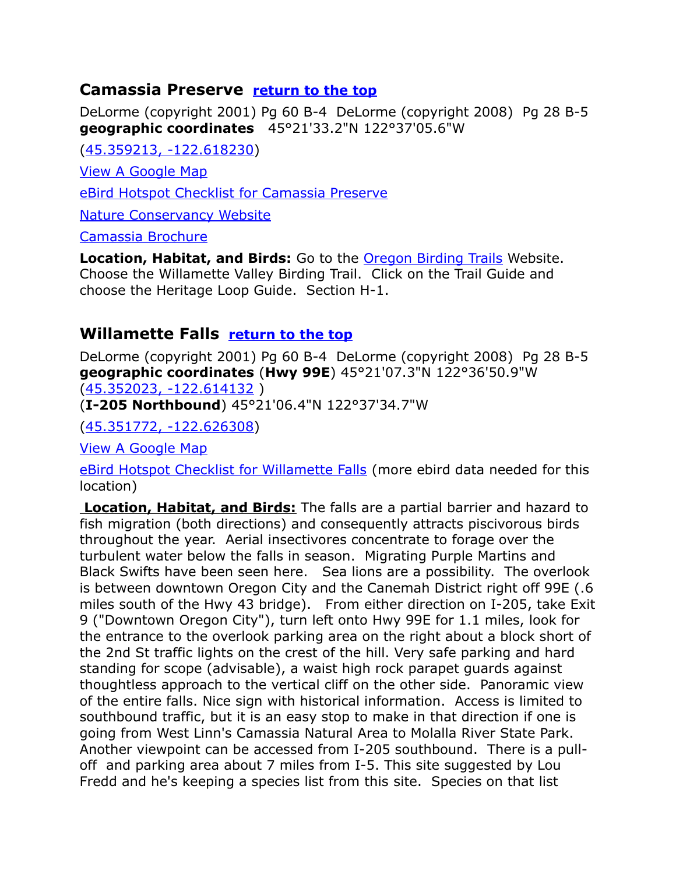# <span id="page-3-0"></span>**Camassia Preserve [return to the top](#page-0-0)**

DeLorme (copyright 2001) Pg 60 B-4 DeLorme (copyright 2008) Pg 28 B-5 **geographic coordinates** 45°21'33.2"N 122°37'05.6"W

[\(45.359213, -122.618230\)](https://www.google.com/maps/place/45%C2%B021)

[View A Google Map](http://maps.google.com/maps/ms?hl=en&ie=UTF8&msa=0&msid=108036481085398338899.00046dc4cf4395371a64a&ll=45.383984,-122.001801&spn=0.758124,2.110748&z=9)

[eBird Hotspot Checklist for Camassia Preserve](http://ebird.org/ebird/hotspot/L777770)

[Nature Conservancy Website](http://www.nature.org/wherewework/northamerica/states/oregon/preserves/art6795.html)

[Camassia Brochure](http://www.fws.gov/oregonfwo/ToolsForLandowners/UrbanConservation/Greenspaces/Documents/Projects/2003/6505.0301CamassiaNaturalAreaRestoration/Appendix%206.0%20Camassia%20Brochure.pdf)

**Location, Habitat, and Birds:** Go to the [Oregon Birding Trails](http://www.oregonbirdingtrails.org/) Website. Choose the Willamette Valley Birding Trail. Click on the Trail Guide and choose the Heritage Loop Guide. Section H-1.

# <span id="page-3-1"></span>**Willamette Falls [return to the top](#page-0-0)**

DeLorme (copyright 2001) Pg 60 B-4 DeLorme (copyright 2008) Pg 28 B-5 **geographic coordinates** (**Hwy 99E**) 45°21'07.3"N 122°36'50.9"W [\(45.352023, -122.614132](https://www.google.com/maps/place/45%C2%B021) )

(**I-205 Northbound**) 45°21'06.4"N 122°37'34.7"W

[\(45.351772, -122.626308\)](https://www.google.com/maps/place/45%C2%B021)

[View A Google Map](http://maps.google.com/maps/ms?hl=en&ie=UTF8&msa=0&ll=45.348737,-122.605577&spn=0.023374,0.066047&z=15&msid=108036481085398338899.00047c3073cc5c2ec9f25)

[eBird Hotspot Checklist for Willamette Falls](http://ebird.org/ebird/hotspot/L2504869) (more ebird data needed for this location)

 **Location, Habitat, and Birds:** The falls are a partial barrier and hazard to fish migration (both directions) and consequently attracts piscivorous birds throughout the year. Aerial insectivores concentrate to forage over the turbulent water below the falls in season. Migrating Purple Martins and Black Swifts have been seen here. Sea lions are a possibility. The overlook is between downtown Oregon City and the Canemah District right off 99E (.6 miles south of the Hwy 43 bridge). From either direction on I-205, take Exit 9 ("Downtown Oregon City"), turn left onto Hwy 99E for 1.1 miles, look for the entrance to the overlook parking area on the right about a block short of the 2nd St traffic lights on the crest of the hill. Very safe parking and hard standing for scope (advisable), a waist high rock parapet guards against thoughtless approach to the vertical cliff on the other side. Panoramic view of the entire falls. Nice sign with historical information. Access is limited to southbound traffic, but it is an easy stop to make in that direction if one is going from West Linn's Camassia Natural Area to Molalla River State Park. Another viewpoint can be accessed from I-205 southbound. There is a pulloff and parking area about 7 miles from I-5. This site suggested by Lou Fredd and he's keeping a species list from this site. Species on that list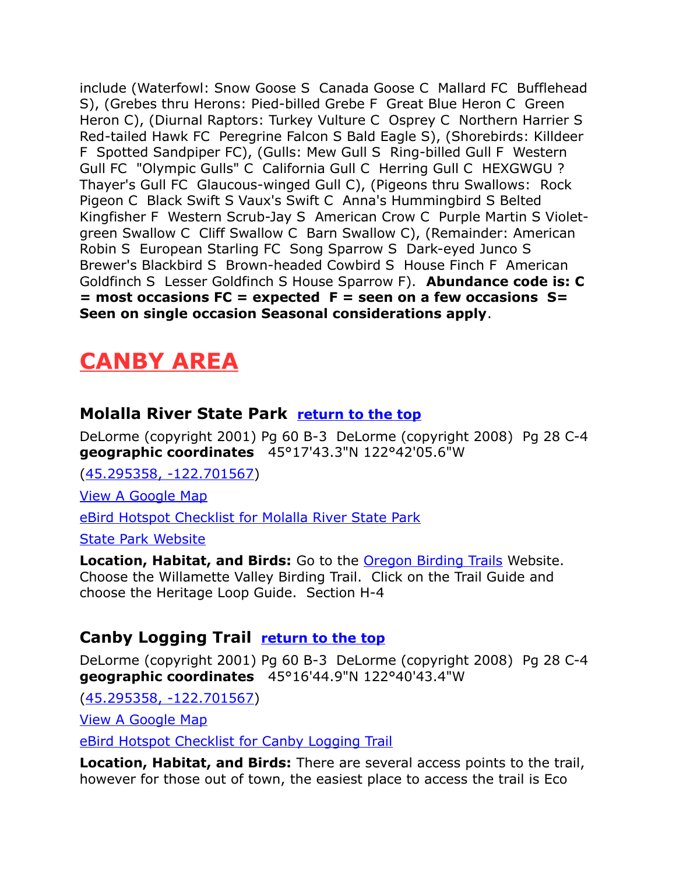include (Waterfowl: Snow Goose S Canada Goose C Mallard FC Bufflehead S), (Grebes thru Herons: Pied-billed Grebe F Great Blue Heron C Green Heron C), (Diurnal Raptors: Turkey Vulture C Osprey C Northern Harrier S Red-tailed Hawk FC Peregrine Falcon S Bald Eagle S), (Shorebirds: Killdeer F Spotted Sandpiper FC), (Gulls: Mew Gull S Ring-billed Gull F Western Gull FC "Olympic Gulls" C California Gull C Herring Gull C HEXGWGU ? Thayer's Gull FC Glaucous-winged Gull C), (Pigeons thru Swallows: Rock Pigeon C Black Swift S Vaux's Swift C Anna's Hummingbird S Belted Kingfisher F Western Scrub-Jay S American Crow C Purple Martin S Violetgreen Swallow C Cliff Swallow C Barn Swallow C), (Remainder: American Robin S European Starling FC Song Sparrow S Dark-eyed Junco S Brewer's Blackbird S Brown-headed Cowbird S House Finch F American Goldfinch S Lesser Goldfinch S House Sparrow F). **Abundance code is: C = most occasions FC = expected F = seen on a few occasions S= Seen on single occasion Seasonal considerations apply**.

# <span id="page-4-2"></span>**CANBY AREA**

# <span id="page-4-1"></span>**Molalla River State Park [return to the top](#page-0-0)**

DeLorme (copyright 2001) Pg 60 B-3 DeLorme (copyright 2008) Pg 28 C-4 **geographic coordinates** 45°17'43.3"N 122°42'05.6"W

[\(45.295358, -122.701567\)](https://www.google.com/maps/place/45%C2%B017)

[View A Google Map](http://maps.google.com/maps/ms?hl=en&ie=UTF8&msa=0&msid=108036481085398338899.00046dc4cf4395371a64a&ll=45.383984,-122.001801&spn=0.758124,2.110748&z=9)

[eBird Hotspot Checklist for Molalla River State Park](http://ebird.org/ebird/hotspot/L660337)

[State Park Website](http://www.oregonstateparks.org/park_111.php)

**Location, Habitat, and Birds:** Go to the [Oregon Birding Trails](http://www.oregonbirdingtrails.org/) Website. Choose the Willamette Valley Birding Trail. Click on the Trail Guide and choose the Heritage Loop Guide. Section H-4

# <span id="page-4-0"></span>**Canby Logging Trail [return to the top](#page-0-0)**

DeLorme (copyright 2001) Pg 60 B-3 DeLorme (copyright 2008) Pg 28 C-4 **geographic coordinates** 45°16'44.9"N 122°40'43.4"W

[\(45.295358, -122.701567\)](https://www.google.com/maps/place/45%C2%B016)

[View A Google Map](http://maps.google.com/maps/ms?hl=en&ie=UTF8&msa=0&msid=108036481085398338899.00046dc4cf4395371a64a&ll=45.383984,-122.001801&spn=0.758124,2.110748&z=9)

[eBird Hotspot Checklist for Canby Logging Trail](http://ebird.org/ebird/hotspot/L2070791?yr=all&m=&rank=mrec)

**Location, Habitat, and Birds:** There are several access points to the trail, however for those out of town, the easiest place to access the trail is Eco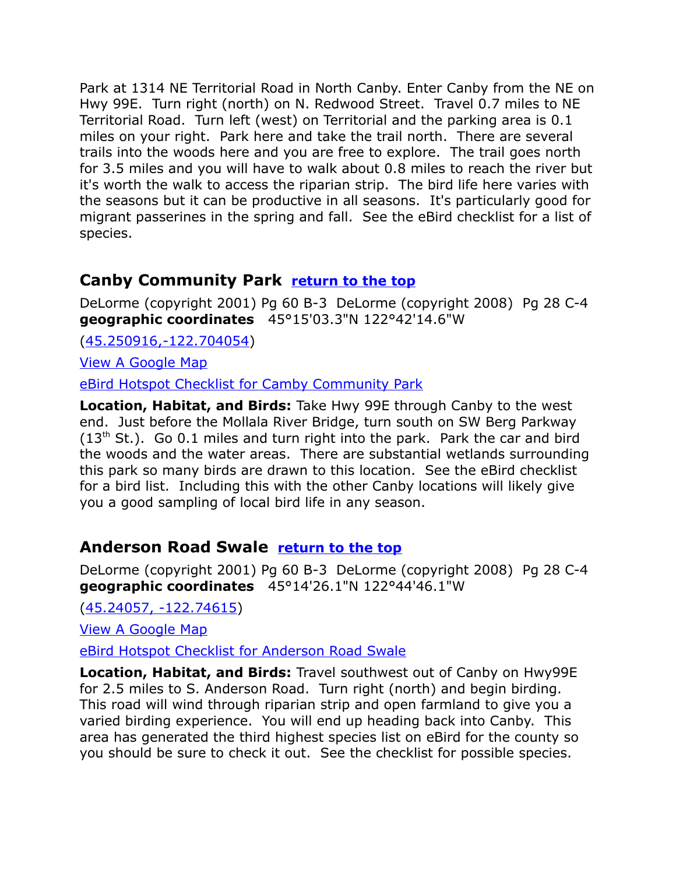Park at 1314 NE Territorial Road in North Canby. Enter Canby from the NE on Hwy 99E. Turn right (north) on N. Redwood Street. Travel 0.7 miles to NE Territorial Road. Turn left (west) on Territorial and the parking area is 0.1 miles on your right. Park here and take the trail north. There are several trails into the woods here and you are free to explore. The trail goes north for 3.5 miles and you will have to walk about 0.8 miles to reach the river but it's worth the walk to access the riparian strip. The bird life here varies with the seasons but it can be productive in all seasons. It's particularly good for migrant passerines in the spring and fall. See the eBird checklist for a list of species.

# <span id="page-5-1"></span>**Canby Community Park [return to the top](#page-0-0)**

DeLorme (copyright 2001) Pg 60 B-3 DeLorme (copyright 2008) Pg 28 C-4 **geographic coordinates** 45°15'03.3"N 122°42'14.6"W

[\(45.250916,-122.704054\)](https://www.google.com/maps/place/45%C2%B015)

[View A Google Map](http://maps.google.com/maps/ms?hl=en&ie=UTF8&msa=0&msid=108036481085398338899.00046dc4cf4395371a64a&ll=45.383984,-122.001801&spn=0.758124,2.110748&z=9)

[eBird Hotspot Checklist for Camby Community Park](http://ebird.org/ebird/hotspot/L2150069?yr=all&m=&rank=mrec)

**Location, Habitat, and Birds:** Take Hwy 99E through Canby to the west end. Just before the Mollala River Bridge, turn south on SW Berg Parkway  $(13<sup>th</sup>$  St.). Go 0.1 miles and turn right into the park. Park the car and bird the woods and the water areas. There are substantial wetlands surrounding this park so many birds are drawn to this location. See the eBird checklist for a bird list. Including this with the other Canby locations will likely give you a good sampling of local bird life in any season.

# <span id="page-5-0"></span>**Anderson Road Swale [return to the top](#page-0-0)**

DeLorme (copyright 2001) Pg 60 B-3 DeLorme (copyright 2008) Pg 28 C-4 **geographic coordinates** 45°14'26.1"N 122°44'46.1"W

[\(45.24057, -122.74615\)](https://www.google.com/maps/place/45%C2%B014)

[View A Google Map](http://maps.google.com/maps/ms?hl=en&ie=UTF8&msa=0&msid=108036481085398338899.00046dc4cf4395371a64a&ll=45.383984,-122.001801&spn=0.758124,2.110748&z=9)

[eBird Hotspot Checklist for Anderson Road Swale](http://ebird.org/ebird/hotspot/L2150022?yr=all&m=&rank=mrec)

**Location, Habitat, and Birds:** Travel southwest out of Canby on Hwy99E for 2.5 miles to S. Anderson Road. Turn right (north) and begin birding. This road will wind through riparian strip and open farmland to give you a varied birding experience. You will end up heading back into Canby. This area has generated the third highest species list on eBird for the county so you should be sure to check it out. See the checklist for possible species.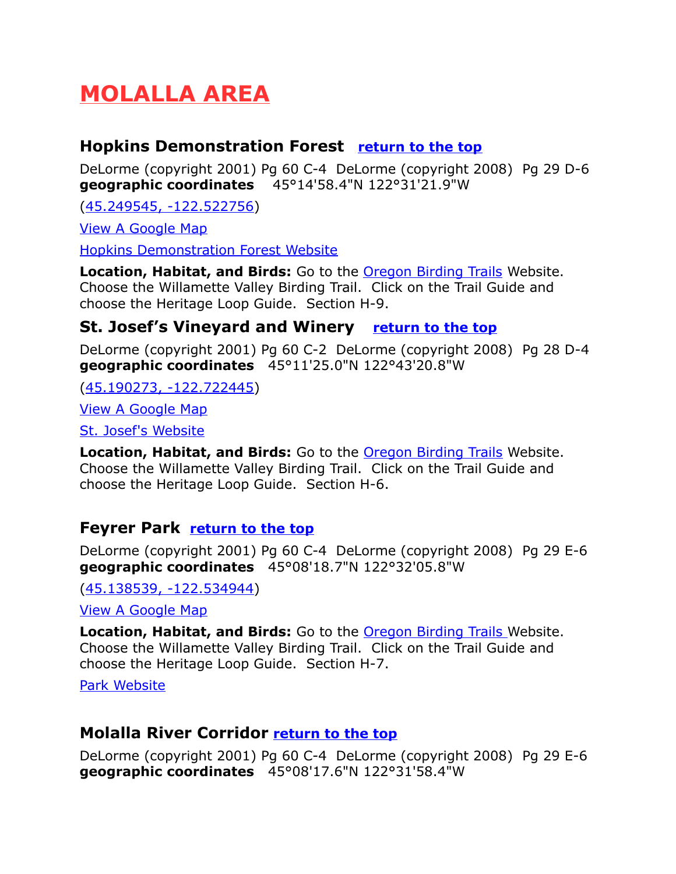# <span id="page-6-4"></span>**MOLALLA AREA**

# <span id="page-6-3"></span>**Hopkins Demonstration Forest [return to the top](#page-0-0)**

DeLorme (copyright 2001) Pg 60 C-4 DeLorme (copyright 2008) Pg 29 D-6 **geographic coordinates** 45°14'58.4"N 122°31'21.9"W

[\(45.249545, -122.522756\)](https://www.google.com/maps/place/45%C2%B014)

[View A Google Map](http://maps.google.com/maps/ms?hl=en&ie=UTF8&msa=0&msid=108036481085398338899.00046dc4cf4395371a64a&ll=45.383984,-122.001801&spn=0.758124,2.110748&z=9)

[Hopkins Demonstration Forest Website](http://www.forestsforever-or.org/sitemap.htm)

**Location, Habitat, and Birds:** Go to the [Oregon Birding Trails](http://www.oregonbirdingtrails.org/) Website. Choose the Willamette Valley Birding Trail. Click on the Trail Guide and choose the Heritage Loop Guide. Section H-9.

# <span id="page-6-2"></span>**St. Josef's Vineyard and Winery [return to the top](#page-0-0)**

DeLorme (copyright 2001) Pg 60 C-2 DeLorme (copyright 2008) Pg 28 D-4 **geographic coordinates** 45°11'25.0"N 122°43'20.8"W

[\(45.190273, -122.722445\)](https://www.google.com/maps/place/45%C2%B011)

[View A Google Map](http://maps.google.com/maps/ms?hl=en&ie=UTF8&msa=0&msid=108036481085398338899.00046dc66b79c2e16f85e&ll=45.176713,-122.721405&spn=0.318008,0.699692&z=11)

[St. Josef's Website](http://www.stjosefswinery.com/index.html)

**Location, Habitat, and Birds:** Go to the [Oregon Birding Trails](http://www.oregonbirdingtrails.org/) Website. Choose the Willamette Valley Birding Trail. Click on the Trail Guide and choose the Heritage Loop Guide. Section H-6.

# <span id="page-6-1"></span>**Feyrer Park [return to the top](#page-0-0)**

DeLorme (copyright 2001) Pg 60 C-4 DeLorme (copyright 2008) Pg 29 E-6 **geographic coordinates** 45°08'18.7"N 122°32'05.8"W

[\(45.138539, -122.534944\)](https://www.google.com/maps/place/45%C2%B008)

[View A Google Map](http://maps.google.com/maps/ms?hl=en&ie=UTF8&msa=0&msid=108036481085398338899.00046dc676043ffcecfe2&ll=45.136403,-122.537899&spn=0.079558,0.174923&z=13)

**Location, Habitat, and Birds:** Go to the [Oregon Birding Trails W](http://www.oregonbirdingtrails.org/)ebsite. Choose the Willamette Valley Birding Trail. Click on the Trail Guide and choose the Heritage Loop Guide. Section H-7.

[Park Website](http://www.clackamas.us/parks/feyrer.html)

# <span id="page-6-0"></span>**Molalla River Corridor [return to the top](#page-0-0)**

DeLorme (copyright 2001) Pg 60 C-4 DeLorme (copyright 2008) Pg 29 E-6 **geographic coordinates** 45°08'17.6"N 122°31'58.4"W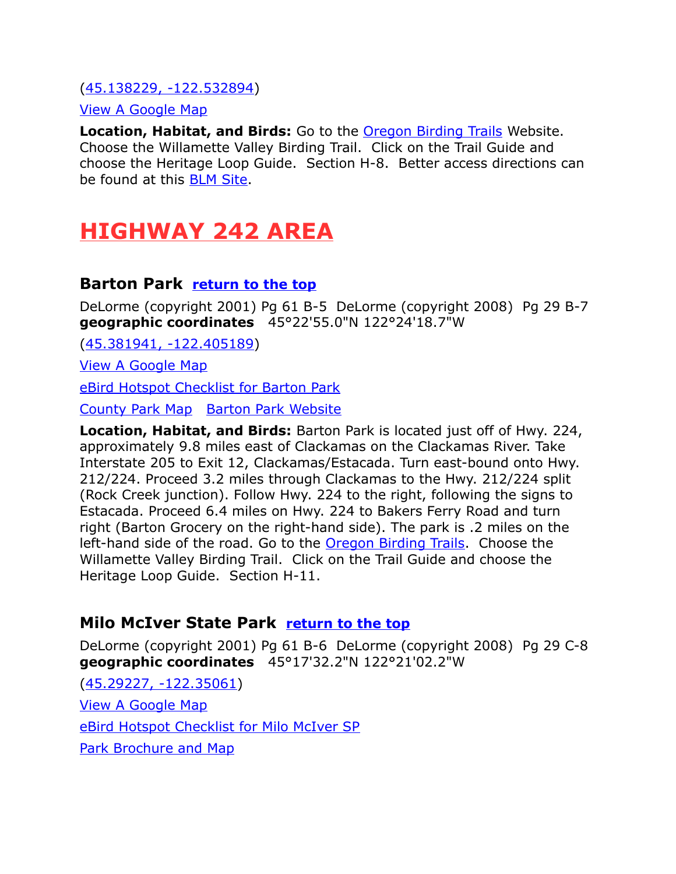#### [\(45.138229, -122.532894\)](https://www.google.com/maps/place/45%C2%B008)

#### [View A Google Map](http://maps.google.com/maps/ms?hl=en&ie=UTF8&msa=0&msid=108036481085398338899.00046dc676043ffcecfe2&ll=45.136403,-122.537899&spn=0.079558,0.174923&z=13)

**Location, Habitat, and Birds:** Go to the [Oregon Birding Trails](http://www.oregonbirdingtrails.org/) Website. Choose the Willamette Valley Birding Trail. Click on the Trail Guide and choose the Heritage Loop Guide. Section H-8. Better access directions can be found at this [BLM Site.](http://www.blm.gov/or/resources/recreation/site_info.php?siteid=210)

# <span id="page-7-2"></span>**HIGHWAY 242 AREA**

### <span id="page-7-1"></span>**Barton Park [return to the top](#page-0-0)**

DeLorme (copyright 2001) Pg 61 B-5 DeLorme (copyright 2008) Pg 29 B-7 **geographic coordinates** 45°22'55.0"N 122°24'18.7"W

[\(45.381941, -122.405189\)](https://www.google.com/maps/place/45%C2%B022)

[View A Google Map](http://maps.google.com/maps/ms?hl=en&ie=UTF8&msa=0&msid=108036481085398338899.00046dc4cf4395371a64a&ll=45.383984,-122.001801&spn=0.758124,2.110748&z=9)

[eBird Hotspot Checklist for Barton Park](http://ebird.org/ebird/hotspot/L1400108)

[County Park Map](http://www.clackamas.us/parks/documents/bartonmap.pdf) [Barton Park Website](http://www.clackamas.us/parks/barton.html)

**Location, Habitat, and Birds:** Barton Park is located just off of Hwy. 224, approximately 9.8 miles east of Clackamas on the Clackamas River. Take Interstate 205 to Exit 12, Clackamas/Estacada. Turn east-bound onto Hwy. 212/224. Proceed 3.2 miles through Clackamas to the Hwy. 212/224 split (Rock Creek junction). Follow Hwy. 224 to the right, following the signs to Estacada. Proceed 6.4 miles on Hwy. 224 to Bakers Ferry Road and turn right (Barton Grocery on the right-hand side). The park is .2 miles on the left-hand side of the road. Go to the [Oregon Birding Trails.](http://www.oregonbirdingtrails.org/) Choose the Willamette Valley Birding Trail. Click on the Trail Guide and choose the Heritage Loop Guide. Section H-11.

#### <span id="page-7-0"></span>**Milo McIver State Park [return to the top](#page-0-0)**

DeLorme (copyright 2001) Pg 61 B-6 DeLorme (copyright 2008) Pg 29 C-8 **geographic coordinates** 45°17'32.2"N 122°21'02.2"W

[\(45.29227, -122.35061\)](https://www.google.com/maps/place/45%C2%B017) [View A Google Map](http://maps.google.com/maps/ms?hl=en&ie=UTF8&msa=0&msid=108036481085398338899.00046dc4cf4395371a64a&ll=45.383984,-122.001801&spn=0.758124,2.110748&z=9) [eBird Hotspot Checklist for Milo McIver SP](http://ebird.org/ebird/hotspot/L453979) [Park Brochure and Map](http://www.oregonstateparks.org/park_142.php)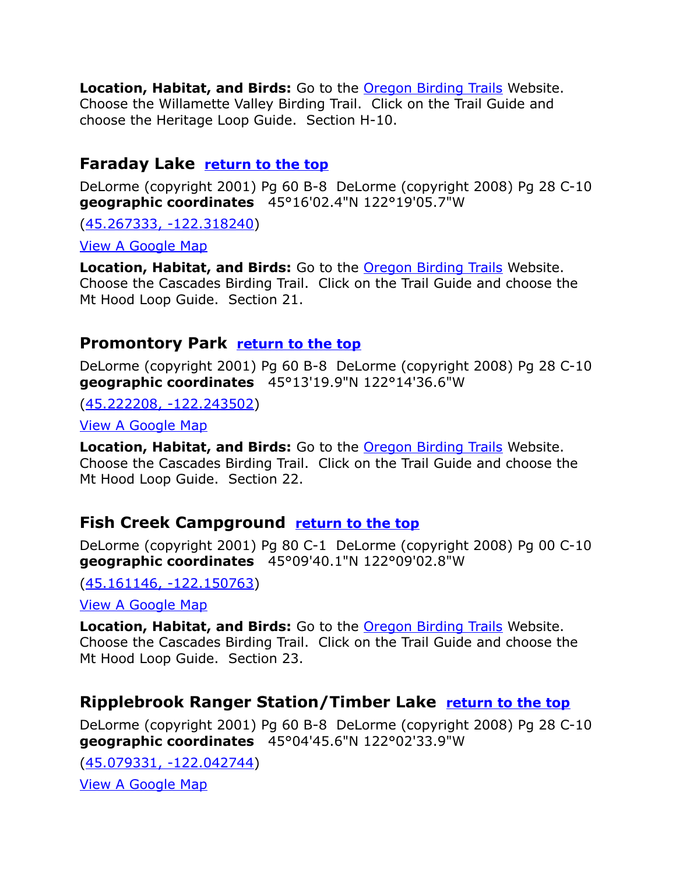**Location, Habitat, and Birds:** Go to the [Oregon Birding Trails](http://www.oregonbirdingtrails.org/) Website. Choose the Willamette Valley Birding Trail. Click on the Trail Guide and choose the Heritage Loop Guide. Section H-10.

### <span id="page-8-3"></span>**Faraday Lake [return to the top](#page-0-0)**

DeLorme (copyright 2001) Pg 60 B-8 DeLorme (copyright 2008) Pg 28 C-10 **geographic coordinates** 45°16'02.4"N 122°19'05.7"W

[\(45.267333, -122.318240\)](https://www.google.com/maps/place/45%C2%B016)

[View A Google Map](http://maps.google.com/maps/ms?hl=en&ie=UTF8&msa=0&msid=108036481085398338899.000468f5a742a7d84010d&ll=45.223161,-122.038879&spn=0.379653,1.054688&z=10)

**Location, Habitat, and Birds:** Go to the [Oregon Birding Trails](http://www.oregonbirdingtrails.org/) Website. Choose the Cascades Birding Trail. Click on the Trail Guide and choose the Mt Hood Loop Guide. Section 21.

### <span id="page-8-2"></span>**Promontory Park [return to the top](#page-0-0)**

DeLorme (copyright 2001) Pg 60 B-8 DeLorme (copyright 2008) Pg 28 C-10 **geographic coordinates** 45°13'19.9"N 122°14'36.6"W

[\(45.222208, -122.243502\)](https://www.google.com/maps/place/45%C2%B013)

[View A Google Map](http://maps.google.com/maps/ms?hl=en&ie=UTF8&msa=0&msid=108036481085398338899.000468f5a742a7d84010d&ll=45.223161,-122.038879&spn=0.379653,1.054688&z=10)

**Location, Habitat, and Birds:** Go to the [Oregon Birding Trails](http://www.oregonbirdingtrails.org/) Website. Choose the Cascades Birding Trail. Click on the Trail Guide and choose the Mt Hood Loop Guide. Section 22.

# <span id="page-8-1"></span>**Fish Creek Campground [return to the top](#page-0-0)**

DeLorme (copyright 2001) Pg 80 C-1 DeLorme (copyright 2008) Pg 00 C-10 **geographic coordinates** 45°09'40.1"N 122°09'02.8"W

[\(45.161146, -122.150763\)](https://www.google.com/maps/place/45%C2%B009)

[View A Google Map](http://maps.google.com/maps/ms?hl=en&ie=UTF8&msa=0&msid=108036481085398338899.000468f5a742a7d84010d&ll=45.223161,-122.038879&spn=0.379653,1.054688&z=10)

**Location, Habitat, and Birds:** Go to the [Oregon Birding Trails](http://www.oregonbirdingtrails.org/) Website. Choose the Cascades Birding Trail. Click on the Trail Guide and choose the Mt Hood Loop Guide. Section 23.

# <span id="page-8-0"></span>**Ripplebrook Ranger Station/Timber Lake [return to the top](#page-0-0)**

DeLorme (copyright 2001) Pg 60 B-8 DeLorme (copyright 2008) Pg 28 C-10 **geographic coordinates** 45°04'45.6"N 122°02'33.9"W

[\(45.079331, -122.042744\)](https://www.google.com/maps/place/45%C2%B004) [View A Google Map](http://maps.google.com/maps/ms?hl=en&ie=UTF8&msa=0&msid=108036481085398338899.000468f5a742a7d84010d&ll=45.223161,-122.038879&spn=0.379653,1.054688&z=10)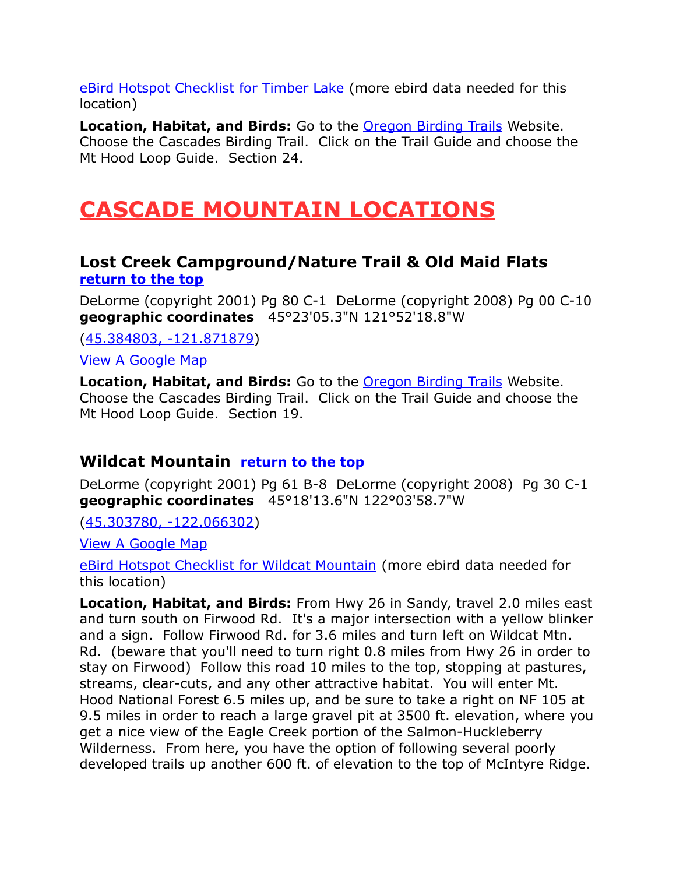[eBird Hotspot Checklist for Timber Lake](http://ebird.org/ebird/hotspot/L917200) (more ebird data needed for this location)

**Location, Habitat, and Birds:** Go to the **Oregon Birding Trails** Website. Choose the Cascades Birding Trail. Click on the Trail Guide and choose the Mt Hood Loop Guide. Section 24.

# <span id="page-9-2"></span>**CASCADE MOUNTAIN LOCATIONS**

### <span id="page-9-1"></span>**Lost Creek Campground/Nature Trail & Old Maid Flats [return to the top](#page-0-0)**

DeLorme (copyright 2001) Pg 80 C-1 DeLorme (copyright 2008) Pg 00 C-10 **geographic coordinates** 45°23'05.3"N 121°52'18.8"W

[\(45.384803, -121.871879\)](https://www.google.com/maps/place/45%C2%B023)

[View A Google Map](http://maps.google.com/maps/ms?hl=en&ie=UTF8&msa=0&msid=108036481085398338899.000468f5a742a7d84010d&ll=45.223161,-122.038879&spn=0.379653,1.054688&z=10)

**Location, Habitat, and Birds:** Go to the [Oregon Birding Trails](http://www.oregonbirdingtrails.org/) Website. Choose the Cascades Birding Trail. Click on the Trail Guide and choose the Mt Hood Loop Guide. Section 19.

# <span id="page-9-0"></span>**Wildcat Mountain [return to the top](#page-0-0)**

DeLorme (copyright 2001) Pg 61 B-8 DeLorme (copyright 2008) Pg 30 C-1 **geographic coordinates** 45°18'13.6"N 122°03'58.7"W

[\(45.303780, -122.066302\)](https://www.google.com/maps/place/45%C2%B018)

[View A Google Map](http://maps.google.com/maps/ms?hl=en&ie=UTF8&msa=0&ll=45.274065,-122.002602&spn=0.769262,2.113495&z=10&msid=108036481085398338899.00047f85246b1c5772cae)

[eBird Hotspot Checklist for Wildcat Mountain](http://ebird.org/ebird/hotspot/L2386288) (more ebird data needed for this location)

**Location, Habitat, and Birds:** From Hwy 26 in Sandy, travel 2.0 miles east and turn south on Firwood Rd. It's a major intersection with a yellow blinker and a sign. Follow Firwood Rd. for 3.6 miles and turn left on Wildcat Mtn. Rd. (beware that you'll need to turn right 0.8 miles from Hwy 26 in order to stay on Firwood) Follow this road 10 miles to the top, stopping at pastures, streams, clear-cuts, and any other attractive habitat. You will enter Mt. Hood National Forest 6.5 miles up, and be sure to take a right on NF 105 at 9.5 miles in order to reach a large gravel pit at 3500 ft. elevation, where you get a nice view of the Eagle Creek portion of the Salmon-Huckleberry Wilderness. From here, you have the option of following several poorly developed trails up another 600 ft. of elevation to the top of McIntyre Ridge.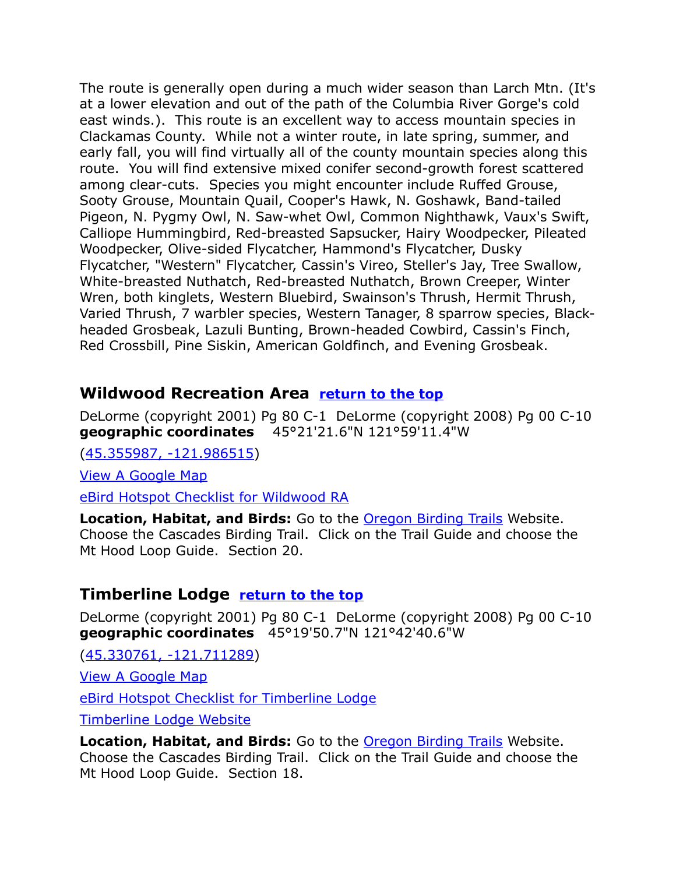The route is generally open during a much wider season than Larch Mtn. (It's at a lower elevation and out of the path of the Columbia River Gorge's cold east winds.). This route is an excellent way to access mountain species in Clackamas County. While not a winter route, in late spring, summer, and early fall, you will find virtually all of the county mountain species along this route. You will find extensive mixed conifer second-growth forest scattered among clear-cuts. Species you might encounter include Ruffed Grouse, Sooty Grouse, Mountain Quail, Cooper's Hawk, N. Goshawk, Band-tailed Pigeon, N. Pygmy Owl, N. Saw-whet Owl, Common Nighthawk, Vaux's Swift, Calliope Hummingbird, Red-breasted Sapsucker, Hairy Woodpecker, Pileated Woodpecker, Olive-sided Flycatcher, Hammond's Flycatcher, Dusky Flycatcher, "Western" Flycatcher, Cassin's Vireo, Steller's Jay, Tree Swallow, White-breasted Nuthatch, Red-breasted Nuthatch, Brown Creeper, Winter Wren, both kinglets, Western Bluebird, Swainson's Thrush, Hermit Thrush, Varied Thrush, 7 warbler species, Western Tanager, 8 sparrow species, Blackheaded Grosbeak, Lazuli Bunting, Brown-headed Cowbird, Cassin's Finch, Red Crossbill, Pine Siskin, American Goldfinch, and Evening Grosbeak.

# <span id="page-10-1"></span>**Wildwood Recreation Area [return to the top](#page-0-0)**

DeLorme (copyright 2001) Pg 80 C-1 DeLorme (copyright 2008) Pg 00 C-10 **geographic coordinates** 45°21'21.6"N 121°59'11.4"W

[\(45.355987, -121.986515\)](https://www.google.com/maps/place/45%C2%B021)

[View A Google Map](http://maps.google.com/maps/ms?hl=en&ie=UTF8&msa=0&msid=108036481085398338899.000468f5a742a7d84010d&ll=45.223161,-122.038879&spn=0.379653,1.054688&z=10)

[eBird Hotspot Checklist for Wildwood RA](http://ebird.org/ebird/hotspot/L741088)

**Location, Habitat, and Birds:** Go to the [Oregon Birding Trails](http://www.oregonbirdingtrails.org/) Website. Choose the Cascades Birding Trail. Click on the Trail Guide and choose the Mt Hood Loop Guide. Section 20.

# <span id="page-10-0"></span>**Timberline Lodge [return to the top](#page-0-0)**

DeLorme (copyright 2001) Pg 80 C-1 DeLorme (copyright 2008) Pg 00 C-10 **geographic coordinates** 45°19'50.7"N 121°42'40.6"W

[\(45.330761, -121.711289\)](https://www.google.com/maps/place/45%C2%B019)

[View A Google Map](http://maps.google.com/maps/ms?hl=en&ie=UTF8&msa=0&msid=108036481085398338899.000468f5a742a7d84010d&ll=45.223161,-122.038879&spn=0.379653,1.054688&z=10)

[eBird Hotspot Checklist for Timberline Lodge](http://ebird.org/ebird/hotspot/L670999)

[Timberline Lodge Website](http://www.timberlinelodge.com/)

**Location, Habitat, and Birds:** Go to the [Oregon Birding Trails](http://www.oregonbirdingtrails.org/) Website. Choose the Cascades Birding Trail. Click on the Trail Guide and choose the Mt Hood Loop Guide. Section 18.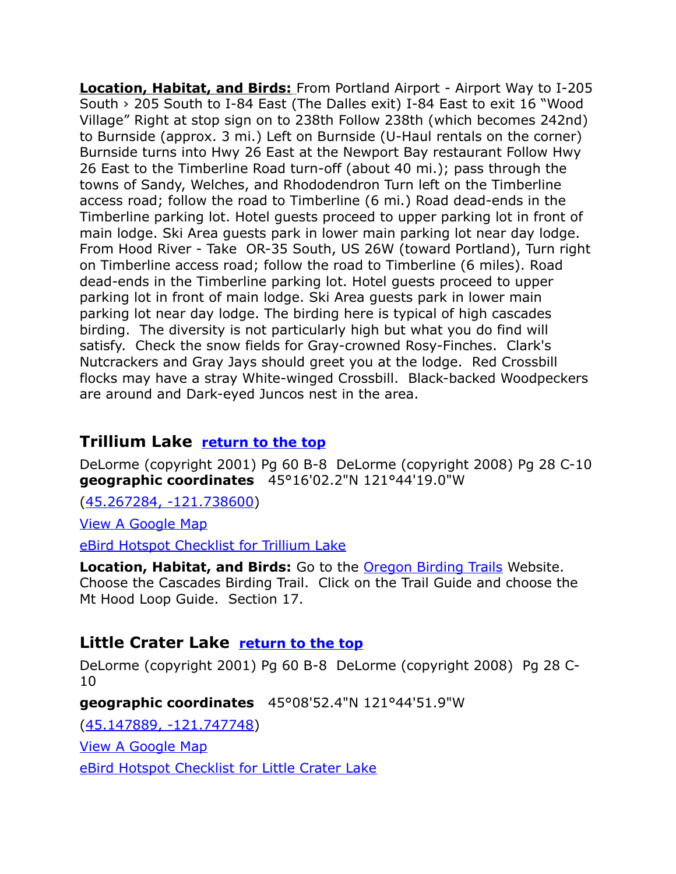**Location, Habitat, and Birds:** From Portland Airport - Airport Way to I-205 South › 205 South to I-84 East (The Dalles exit) I-84 East to exit 16 "Wood Village" Right at stop sign on to 238th Follow 238th (which becomes 242nd) to Burnside (approx. 3 mi.) Left on Burnside (U-Haul rentals on the corner) Burnside turns into Hwy 26 East at the Newport Bay restaurant Follow Hwy 26 East to the Timberline Road turn-off (about 40 mi.); pass through the towns of Sandy, Welches, and Rhododendron Turn left on the Timberline access road; follow the road to Timberline (6 mi.) Road dead-ends in the Timberline parking lot. Hotel guests proceed to upper parking lot in front of main lodge. Ski Area guests park in lower main parking lot near day lodge. From Hood River - Take OR-35 South, US 26W (toward Portland), Turn right on Timberline access road; follow the road to Timberline (6 miles). Road dead-ends in the Timberline parking lot. Hotel guests proceed to upper parking lot in front of main lodge. Ski Area guests park in lower main parking lot near day lodge. The birding here is typical of high cascades birding. The diversity is not particularly high but what you do find will satisfy. Check the snow fields for Gray-crowned Rosy-Finches. Clark's Nutcrackers and Gray Jays should greet you at the lodge. Red Crossbill flocks may have a stray White-winged Crossbill. Black-backed Woodpeckers are around and Dark-eyed Juncos nest in the area.

# <span id="page-11-1"></span>**Trillium Lake [return to the top](#page-0-0)**

DeLorme (copyright 2001) Pg 60 B-8 DeLorme (copyright 2008) Pg 28 C-10 **geographic coordinates** 45°16'02.2"N 121°44'19.0"W

[\(45.267284, -121.738600\)](https://www.google.com/maps/place/45%C2%B016)

[View A Google Map](http://maps.google.com/maps/ms?hl=en&ie=UTF8&msa=0&msid=108036481085398338899.000468f5a742a7d84010d&ll=45.223161,-122.038879&spn=0.379653,1.054688&z=10)

[eBird Hotspot Checklist for Trillium Lake](http://ebird.org/ebird/hotspot/L989543)

**Location, Habitat, and Birds:** Go to the [Oregon Birding Trails](http://www.oregonbirdingtrails.org/) Website. Choose the Cascades Birding Trail. Click on the Trail Guide and choose the Mt Hood Loop Guide. Section 17.

# <span id="page-11-0"></span>**Little Crater Lake [return to the top](#page-0-0)**

DeLorme (copyright 2001) Pg 60 B-8 DeLorme (copyright 2008) Pg 28 C-10

**geographic coordinates** 45°08'52.4"N 121°44'51.9"W

[\(45.147889, -121.747748\)](https://www.google.com/maps/place/45%C2%B008)

[View A Google Map](http://maps.google.com/maps/ms?hl=en&ie=UTF8&msa=0&msid=108036481085398338899.000468f5a742a7d84010d&ll=45.223161,-122.038879&spn=0.379653,1.054688&z=10)

[eBird Hotspot Checklist for Little Crater Lake](http://ebird.org/ebird/hotspot/L1232973)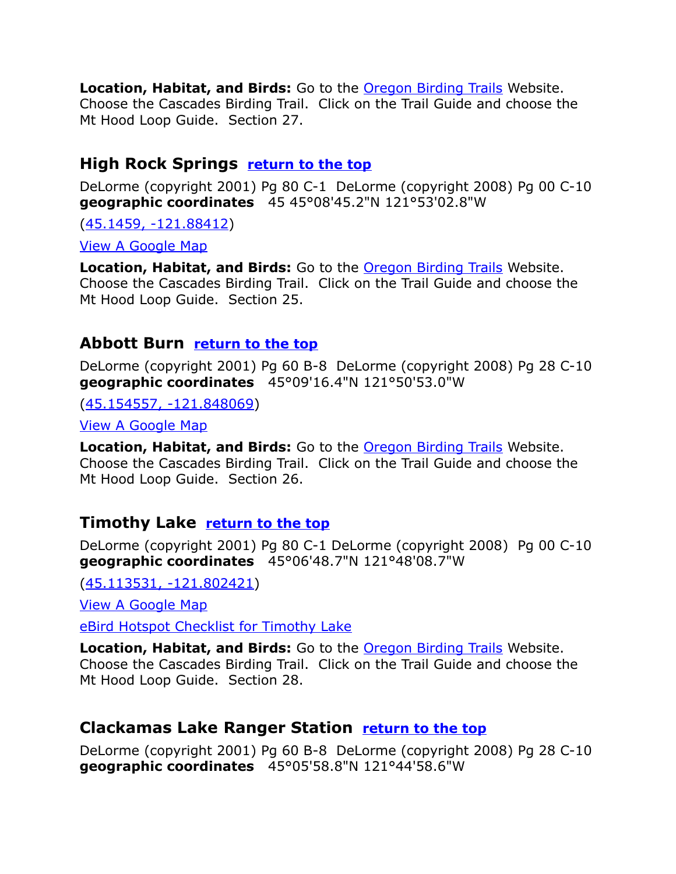**Location, Habitat, and Birds:** Go to the [Oregon Birding Trails](http://www.oregonbirdingtrails.org/) Website. Choose the Cascades Birding Trail. Click on the Trail Guide and choose the Mt Hood Loop Guide. Section 27.

# <span id="page-12-3"></span>**High Rock Springs [return to the top](#page-0-0)**

DeLorme (copyright 2001) Pg 80 C-1 DeLorme (copyright 2008) Pg 00 C-10 **geographic coordinates** 45 45°08'45.2"N 121°53'02.8"W

[\(45.1459, -121.88412\)](https://www.google.com/maps/place/45%C2%B008)

[View A Google Map](http://maps.google.com/maps/ms?hl=en&ie=UTF8&msa=0&msid=108036481085398338899.000468f5a742a7d84010d&ll=45.223161,-122.038879&spn=0.379653,1.054688&z=10)

**Location, Habitat, and Birds:** Go to the [Oregon Birding Trails](http://www.oregonbirdingtrails.org/) Website. Choose the Cascades Birding Trail. Click on the Trail Guide and choose the Mt Hood Loop Guide. Section 25.

# <span id="page-12-2"></span>**Abbott Burn [return to the top](#page-0-0)**

DeLorme (copyright 2001) Pg 60 B-8 DeLorme (copyright 2008) Pg 28 C-10 **geographic coordinates** 45°09'16.4"N 121°50'53.0"W

[\(45.154557, -121.848069\)](https://www.google.com/maps/place/45%C2%B009)

[View A Google Map](http://maps.google.com/maps/ms?hl=en&ie=UTF8&msa=0&msid=108036481085398338899.000468f5a742a7d84010d&ll=45.223161,-122.038879&spn=0.379653,1.054688&z=10)

**Location, Habitat, and Birds:** Go to the [Oregon Birding Trails](http://www.oregonbirdingtrails.org/) Website. Choose the Cascades Birding Trail. Click on the Trail Guide and choose the Mt Hood Loop Guide. Section 26.

# <span id="page-12-0"></span>**Timothy Lake [return to the top](#page-0-0)**

DeLorme (copyright 2001) Pg 80 C-1 DeLorme (copyright 2008) Pg 00 C-10 **geographic coordinates** 45°06'48.7"N 121°48'08.7"W

[\(45.113531, -121.802421\)](https://www.google.com/maps/place/45%C2%B006)

[View A Google Map](http://maps.google.com/maps/ms?hl=en&ie=UTF8&msa=0&msid=108036481085398338899.000468f5a742a7d84010d&ll=45.223161,-122.038879&spn=0.379653,1.054688&z=10)

[eBird Hotspot Checklist for Timothy Lake](http://ebird.org/ebird/hotspot/L856386)

**Location, Habitat, and Birds:** Go to the [Oregon Birding Trails](http://www.oregonbirdingtrails.org/) Website. Choose the Cascades Birding Trail. Click on the Trail Guide and choose the Mt Hood Loop Guide. Section 28.

# <span id="page-12-1"></span>**Clackamas Lake Ranger Station [return to the top](#page-0-0)**

DeLorme (copyright 2001) Pg 60 B-8 DeLorme (copyright 2008) Pg 28 C-10 **geographic coordinates** 45°05'58.8"N 121°44'58.6"W